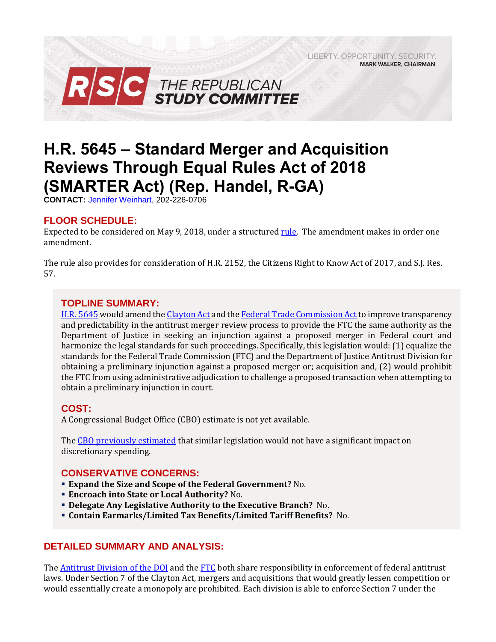LIBERTY, OPPORTUNITY, SECURITY, **MARK WALKER, CHAIRMAN** 



# **H.R. 5645 – Standard Merger and Acquisition Reviews Through Equal Rules Act of 2018 (SMARTER Act) (Rep. Handel, R-GA)**

**CONTACT:** [Jennifer Weinhart,](mailto:jennifer.weinhart@mail.house.gov) 202-226-0706

## **FLOOR SCHEDULE:**

Expected to be considered on May 9, 2018, under a structured [rule.](https://rules.house.gov/sites/republicans.rules.house.gov/files/Rule_HR5645HR2152SJRES57.pdf) The amendment makes in order one amendment.

The rule also provides for consideration of H.R. 2152, the Citizens Right to Know Act of 2017, and S.J. Res. 57.

## **TOPLINE SUMMARY:**

H.R. [5645](https://www.gpo.gov/fdsys/pkg/BILLS-115hr5645ih/pdf/BILLS-115hr5645ih.pdf) would amend th[e Clayton Act](https://www.law.cornell.edu/uscode/text/15/12) and th[e Federal Trade Commission Act](https://www.ftc.gov/enforcement/statutes/federal-trade-commission-act) to improve transparency and predictability in the antitrust merger review process to provide the FTC the same authority as the Department of Justice in seeking an injunction against a proposed merger in Federal court and harmonize the legal standards for such proceedings. Specifically, this legislation would: (1) equalize the standards for the Federal Trade Commission (FTC) and the Department of Justice Antitrust Division for obtaining a preliminary injunction against a proposed merger or; acquisition and, (2) would prohibit the FTC from using administrative adjudication to challenge a proposed transaction when attempting to obtain a preliminary injunction in court.

## **COST:**

A Congressional Budget Office (CBO) estimate is not yet available.

The [CBO previously estimated](https://www.cbo.gov/sites/default/files/114th-congress-2015-2016/costestimate/hr2745.pdf) that similar legislation would not have a significant impact on discretionary spending.

## **CONSERVATIVE CONCERNS:**

- **Expand the Size and Scope of the Federal Government?** No.
- **Encroach into State or Local Authority?** No.
- **Delegate Any Legislative Authority to the Executive Branch?** No.
- **Contain Earmarks/Limited Tax Benefits/Limited Tariff Benefits?** No.

## **DETAILED SUMMARY AND ANALYSIS:**

The Antitrust Division of the DOI and th[e FTC](https://www.ftc.gov/enforcement/statutes/federal-trade-commission-act) both share responsibility in enforcement of federal antitrust laws. Under Section 7 of the Clayton Act, mergers and acquisitions that would greatly lessen competition or would essentially create a monopoly are prohibited. Each division is able to enforce Section 7 under the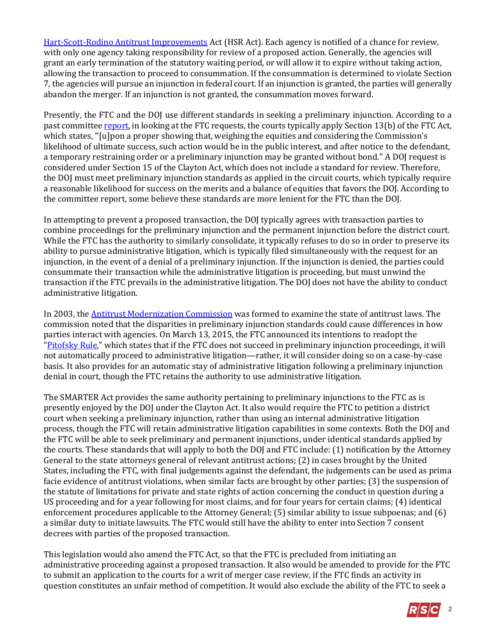[Hart-Scott-Rodino Antitrust Improvements](https://www.ftc.gov/enforcement/statutes/hart-scott-rodino-antitrust-improvements-act-1976) Act (HSR Act). Each agency is notified of a chance for review, with only one agency taking responsibility for review of a proposed action. Generally, the agencies will grant an early termination of the statutory waiting period, or will allow it to expire without taking action, allowing the transaction to proceed to consummation. If the consummation is determined to violate Section 7, the agencies will pursue an injunction in federal court. If an injunction is granted, the parties will generally abandon the merger. If an injunction is not granted, the consummation moves forward.

Presently, the FTC and the DOJ use different standards in seeking a preliminary injunction. According to a past committe[e report,](https://www.congress.gov/114/crpt/hrpt449/CRPT-114hrpt449.pdf) in looking at the FTC requests, the courts typically apply Section 13(b) of the FTC Act, which states, "[u]pon a proper showing that, weighing the equities and considering the Commission's likelihood of ultimate success, such action would be in the public interest, and after notice to the defendant, a temporary restraining order or a preliminary injunction may be granted without bond.'' A DOJ request is considered under Section 15 of the Clayton Act, which does not include a standard for review. Therefore, the DOJ must meet preliminary injunction standards as applied in the circuit courts, which typically require a reasonable likelihood for success on the merits and a balance of equities that favors the DOJ. According to the committee report, some believe these standards are more lenient for the FTC than the DOJ.

In attempting to prevent a proposed transaction, the DOJ typically agrees with transaction parties to combine proceedings for the preliminary injunction and the permanent injunction before the district court. While the FTC has the authority to similarly consolidate, it typically refuses to do so in order to preserve its ability to pursue administrative litigation, which is typically filed simultaneously with the request for an injunction, in the event of a denial of a preliminary injunction. If the injunction is denied, the parties could consummate their transaction while the administrative litigation is proceeding, but must unwind the transaction if the FTC prevails in the administrative litigation. The DOJ does not have the ability to conduct administrative litigation.

In 2003, th[e Antitrust Modernization Commission](http://govinfo.library.unt.edu/amc/) was formed to examine the state of antitrust laws. The commission noted that the disparities in preliminary injunction standards could cause differences in how parties interact with agencies. On March 13, 2015, the FTC announced its intentions to readopt the "[Pitofsky Rule](https://www.ftc.gov/about-ftc/biographies/robert-pitofsky)," which states that if the FTC does not succeed in preliminary injunction proceedings, it will not automatically proceed to administrative litigation—rather, it will consider doing so on a case-by-case basis. It also provides for an automatic stay of administrative litigation following a preliminary injunction denial in court, though the FTC retains the authority to use administrative litigation.

The SMARTER Act provides the same authority pertaining to preliminary injunctions to the FTC as is presently enjoyed by the DOJ under the Clayton Act. It also would require the FTC to petition a district court when seeking a preliminary injunction, rather than using an internal administrative litigation process, though the FTC will retain administrative litigation capabilities in some contexts. Both the DOJ and the FTC will be able to seek preliminary and permanent injunctions, under identical standards applied by the courts. These standards that will apply to both the DOJ and FTC include: (1) notification by the Attorney General to the state attorneys general of relevant antitrust actions; (2) in cases brought by the United States, including the FTC, with final judgements against the defendant, the judgements can be used as prima facie evidence of antitrust violations, when similar facts are brought by other parties; (3) the suspension of the statute of limitations for private and state rights of action concerning the conduct in question during a US proceeding and for a year following for most claims, and for four years for certain claims; (4) identical enforcement procedures applicable to the Attorney General; (5) similar ability to issue subpoenas; and (6) a similar duty to initiate lawsuits. The FTC would still have the ability to enter into Section 7 consent decrees with parties of the proposed transaction.

This legislation would also amend the FTC Act, so that the FTC is precluded from initiating an administrative proceeding against a proposed transaction. It also would be amended to provide for the FTC to submit an application to the courts for a writ of merger case review, if the FTC finds an activity in question constitutes an unfair method of competition. It would also exclude the ability of the FTC to seek a